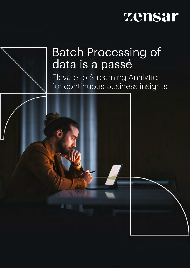

# Batch Processing of

Elevate to Streaming Analytics for continuous business insights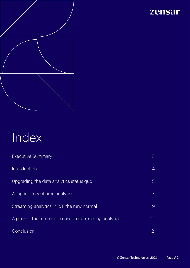

# Index

| <b>Executive Summary</b>                                | 3              |
|---------------------------------------------------------|----------------|
| Introduction                                            | $\overline{4}$ |
| Upgrading the data analytics status quo                 | 5              |
| Adapting to real-time analytics                         |                |
| Streaming analytics in IoT: the new normal              | 9              |
| A peek at the future: use cases for streaming analytics | 10             |
| Conclusion                                              | 12             |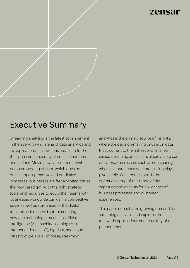

# Executive Summary

Streaming analytics is the latest advancement in the ever-growing arena of data analytics and its applications. It allows businesses to further the speed and accuracy of critical decisions and actions. Moving away from traditional batch processing of data, which does not quite support proactive and predictive processes, businesses are fast adopting this as the new paradigm. With the right strategy, tools, and resources to equip their teams with, businesses worldwide can gain a competitive edge, as well as stay ahead of the digital transformation curve by implementing new-age technologies such as artificial intelligence (AI), machine learning (ML), internet of things (IoT), big data, and cloud infrastructure. For all of these, streaming

analytics is the primary source of insights, where the decision-making onus is on data that's current to the millisecond. In a real sense, streaming analytics is already a big part of everyday use cases such as ride-sharing, where instantaneous data processing plays a pivotal role. What comes next is the operationalizing of this mode of data capturing and analysis for a wider set of business processes and customer experiences.

This paper unpacks the growing demand for streaming analytics and explores the real-world applications and feasibility of this phenomenon.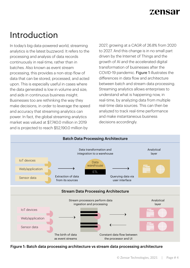

# Introduction

In today's big data-powered world, streaming analytics is the latest buzzword. It refers to the processing and analysis of data records continuously in real-time, rather than in batches. Also known as event stream processing, this provides a non-stop flow of data that can be stored, processed, and acted upon. This is especially useful in cases where the data generated is low in volume and size, and aids in continuous business insight. Businesses too are rethinking the way they make decisions, in order to leverage the speed and accuracy that streaming analytics can power. In fact, the global streaming analytics market was valued at \$7,740.0 million in 2019 and is projected to reach \$52,190.0 million by

2027, growing at a CAGR of 26.8% from 2020 to 2027. And this change is in no small part driven by the Internet of Things and the growth of AI and the accelerated digital transformation of businesses after the COVID-19 pandemic. Figure 1 illustrates the differences in data flow and architecture between batch and stream data processing. Streaming analytics allows enterprises to understand what is happening now, in real-time, by analyzing data from multiple real-time data sources. This can then be analyzed to track real-time performance and make instantaneous business decisions accordingly.



Figure 1: Batch data processing architecture vs stream data processing architecture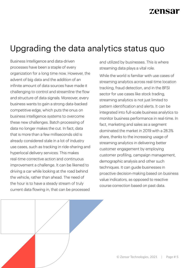# Upgrading the data analytics status quo

Business Intelligence and data-driven processes have been a staple of every organization for a long time now. However, the advent of big data and the addition of an infinite amount of data sources have made it challenging to control and streamline the flow and structure of data signals. Moreover, every business wants to gain a strong data-backed competitive edge, which puts the onus on business intelligence systems to overcome these new challenges. Batch processing of data no longer makes the cut. In fact, data that is more than a few milliseconds old is already considered stale in a lot of industry use cases, such as tracking in ride-sharing and hyperlocal delivery services. This makes real-time corrective action and continuous improvement a challenge. It can be likened to driving a car while looking at the road behind the vehicle, rather than ahead. The need of the hour is to have a steady stream of truly current data flowing in, that can be processed

and utilized by businesses. This is where streaming data plays a vital role.

While the world is familiar with use cases of streaming analytics across real-time location tracking, fraud detection, and in the BFSI sector for use cases like stock trading, streaming analytics is not just limited to pattern identification and alerts. It can be integrated into full-scale business analytics to monitor business performance in real-time. In fact, marketing and sales as a segment dominated the market in 2019 with a 28.3% share, thanks to the increasing usage of streaming analytics in delivering better customer engagement by employing customer profiling, campaign management, demographic analysis and other such techniques. It can guide businesses in proactive decision-making based on business value indicators, as opposed to reactive course correction based on past data.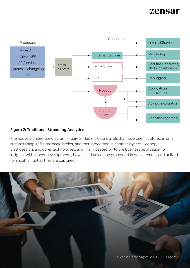

### Figure 2: Traditional Streaming Analytics

The above architecture diagram (Figure 2) depicts data signals that have been captured in small streams using Kafka message broker, and then processed in another layer of Hadoop, Elasticsearch, and other technologies, and finally passed on to the business application for insights. With recent developments, however, data can be processed in data streams, and utilized for insights right as they are captured.

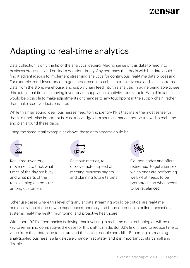# Adapting to real-time analytics

Data collection is only the tip of the analytics iceberg. Making sense of this data to feed into business processes and business decisions is key. Any company that deals with big data could find it advantageous to implement streaming analytics for continuous, real-time data processing. For example, retail inventory data gets processed in batches to track revenue and sales patterns. Data from the store, warehouse, and supply chain feed into this analysis. Imagine being able to see this data in real-time, as moving inventory or supply chain activity, for example. With this data, it would be possible to make adjustments or changes to any touchpoint in the supply chain, rather than make reactive decisions later.

While this may sound ideal, businesses need to first identify KPIs that make the most sense for them to track. Also important is to acknowledge data sources that cannot be tracked in real-time, and plan around these gaps.

Using the same retail example as above, these data streams could be:



Real-time inventory movement, to track what times of the day are busy and what parts of the retail catalog are popular among customers



Revenue metrics, to discover actual speed of meeting business targets and planning future targets



Coupon codes and offers redeemed, to get a sense of which ones are performing well, what needs to be promoted, and what needs to be rebalanced

Other use cases where this level of granular data streaming would be critical are real-time personalization of app or web experiences, anomaly and fraud detection in online transaction systems, real-time health monitoring, and proactive healthcare.

With about 90% of companies believing that investing in real-time data technologies will be the key to remaining competitive, the case for this shift is made. But 66% find it hard to reduce time to value from their data, due to culture and the lack of people and skills. Becoming a streaming analytics-led business is a large-scale change in strategy, and it is important to start small and flexible.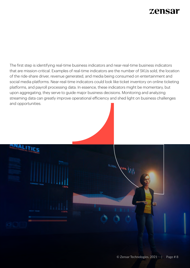The first step is identifying real-time business indicators and near-real-time business indicators that are mission-critical. Examples of real-time indicators are the number of SKUs sold, the location of the ride-share driver, revenue generated, and media being consumed on entertainment and social media platforms. Near-real-time indicators could look like ticket inventory on online ticketing platforms, and payroll processing data. In essence, these indicators might be momentary, but upon aggregating, they serve to guide major business decisions. Monitoring and analyzing streaming data can greatly improve operational efficiency and shed light on business challenges and opportunities.

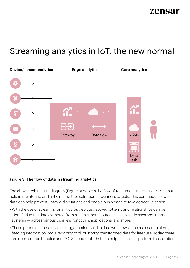# Streaming analytics in IoT: the new normal



### Figure 3: The flow of data in streaming analytics

The above architecture diagram (Figure 3) depicts the flow of real-time business indicators that help in monitoring and anticipating the realization of business targets. This continuous flow of data can help prevent untoward situations and enable businesses to take corrective action.

- With the use of streaming analytics, as depicted above, patterns and relationships can be identified in the data extracted from multiple input sources — such as devices and internal systems — across various business functions, applications, and more.
- These patterns can be used to trigger actions and initiate workflows such as creating alerts, feeding information into a reporting tool, or storing transformed data for later use. Today, there are open-source bundles and COTS cloud tools that can help businesses perform these actions.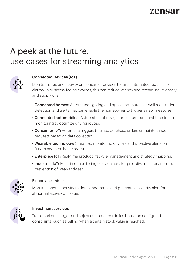# A peek at the future: use cases for streaming analytics



### Connected Devices (IoT)

Monitor usage and activity on consumer devices to raise automated requests or alarms. In business-facing devices, this can reduce latency and streamline inventory and supply chain.

- **Connected homes:** Automated lighting and appliance shutoff, as well as intruder detection and alerts that can enable the homeowner to trigger safety measures.
- **Connected automobiles:** Automation of navigation features and real-time traffic monitoring to optimize driving routes.
- Consumer IoT: Automatic triggers to place purchase orders or maintenance requests based on data collected.
- Wearable technology: Streamed monitoring of vitals and proactive alerts on fitness and healthcare measures.
- Enterprise IoT: Real-time product lifecycle management and strategy mapping.
- Industrial IoT: Real-time monitoring of machinery for proactive maintenance and prevention of wear-and-tear.



### Financial services

Monitor account activity to detect anomalies and generate a security alert for abnormal activity or usage.



### Investment services

Track market changes and adjust customer portfolios based on configured constraints, such as selling when a certain stock value is reached.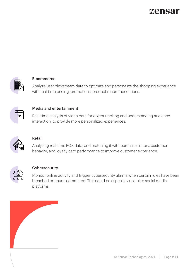

### E-commerce

Analyze user clickstream data to optimize and personalize the shopping experience with real-time pricing, promotions, product recommendations.



#### Media and entertainment

Real-time analysis of video data for object tracking and understanding audience interaction, to provide more personalized experiences.



### Retail

Analyzing real-time POS data, and matching it with purchase history, customer behavior, and loyalty card performance to improve customer experience.



### **Cybersecurity**

Monitor online activity and trigger cybersecurity alarms when certain rules have been breached or frauds committed. This could be especially useful to social media platforms.

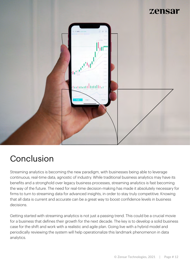

# Conclusion

Streaming analytics is becoming the new paradigm, with businesses being able to leverage continuous, real-time data, agnostic of industry. While traditional business analytics may have its benefits and a stronghold over legacy business processes, streaming analytics is fast becoming the way of the future. The need for real-time decision-making has made it absolutely necessary for firms to turn to streaming data for advanced insights, in order to stay truly competitive. Knowing that all data is current and accurate can be a great way to boost confidence levels in business decisions.

Getting started with streaming analytics is not just a passing trend. This could be a crucial movie for a business that defines their growth for the next decade. The key is to develop a solid business case for the shift and work with a realistic and agile plan. Going live with a hybrid model and periodically reviewing the system will help operationalize this landmark phenomenon in data analytics.